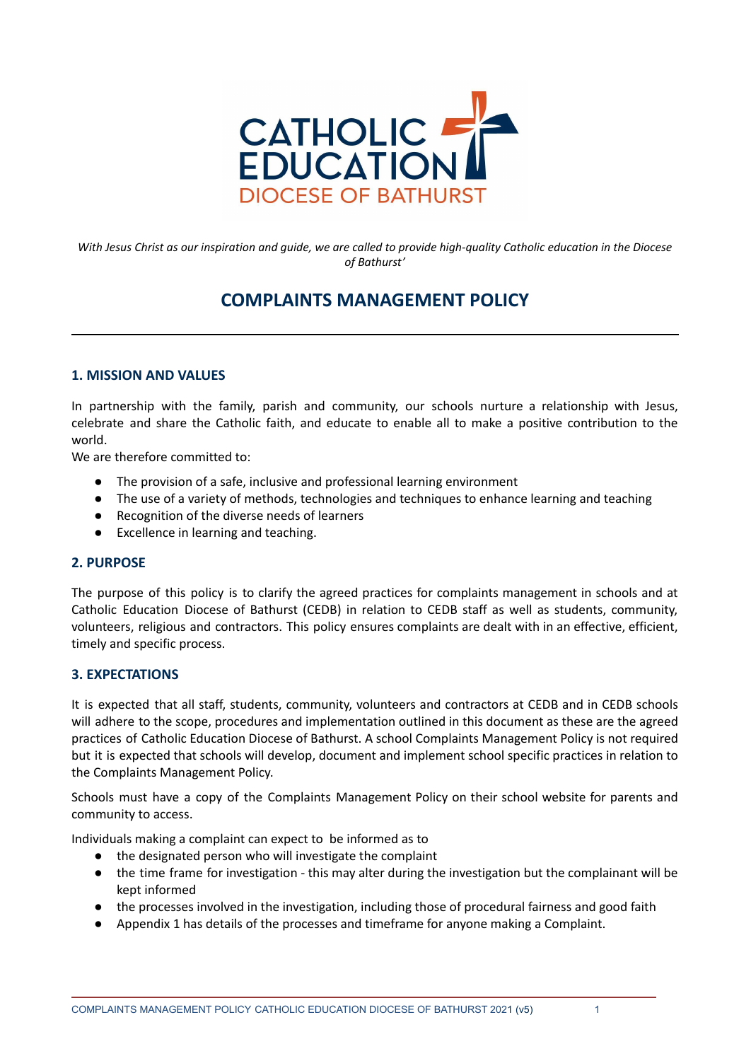

With Jesus Christ as our inspiration and quide, we are called to provide high-quality Catholic education in the Diocese *of Bathurst'*

# **COMPLAINTS MANAGEMENT POLICY**

### **1. MISSION AND VALUES**

In partnership with the family, parish and community, our schools nurture a relationship with Jesus, celebrate and share the Catholic faith, and educate to enable all to make a positive contribution to the world.

We are therefore committed to:

- The provision of a safe, inclusive and professional learning environment
- The use of a variety of methods, technologies and techniques to enhance learning and teaching
- Recognition of the diverse needs of learners
- Excellence in learning and teaching.

### **2. PURPOSE**

The purpose of this policy is to clarify the agreed practices for complaints management in schools and at Catholic Education Diocese of Bathurst (CEDB) in relation to CEDB staff as well as students, community, volunteers, religious and contractors. This policy ensures complaints are dealt with in an effective, efficient, timely and specific process.

### **3. EXPECTATIONS**

It is expected that all staff, students, community, volunteers and contractors at CEDB and in CEDB schools will adhere to the scope, procedures and implementation outlined in this document as these are the agreed practices of Catholic Education Diocese of Bathurst. A school Complaints Management Policy is not required but it is expected that schools will develop, document and implement school specific practices in relation to the Complaints Management Policy.

Schools must have a copy of the Complaints Management Policy on their school website for parents and community to access.

Individuals making a complaint can expect to be informed as to

- the designated person who will investigate the complaint
- the time frame for investigation this may alter during the investigation but the complainant will be kept informed
- the processes involved in the investigation, including those of procedural fairness and good faith
- Appendix 1 has details of the processes and timeframe for anyone making a Complaint.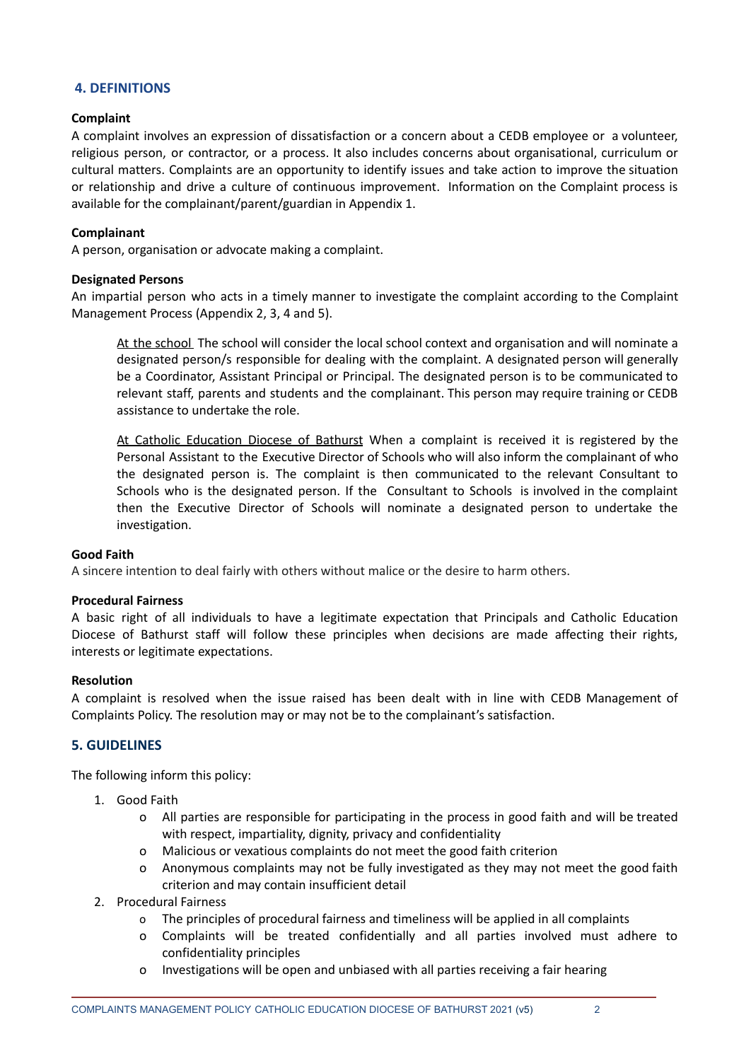### **4. DEFINITIONS**

### **Complaint**

A complaint involves an expression of dissatisfaction or a concern about a CEDB employee or a volunteer, religious person, or contractor, or a process. It also includes concerns about organisational, curriculum or cultural matters. Complaints are an opportunity to identify issues and take action to improve the situation or relationship and drive a culture of continuous improvement. Information on the Complaint process is available for the complainant/parent/guardian in Appendix 1.

### **Complainant**

A person, organisation or advocate making a complaint.

### **Designated Persons**

An impartial person who acts in a timely manner to investigate the complaint according to the Complaint Management Process (Appendix 2, 3, 4 and 5).

At the school The school will consider the local school context and organisation and will nominate a designated person/s responsible for dealing with the complaint. A designated person will generally be a Coordinator, Assistant Principal or Principal. The designated person is to be communicated to relevant staff, parents and students and the complainant. This person may require training or CEDB assistance to undertake the role.

At Catholic Education Diocese of Bathurst When a complaint is received it is registered by the Personal Assistant to the Executive Director of Schools who will also inform the complainant of who the designated person is. The complaint is then communicated to the relevant Consultant to Schools who is the designated person. If the Consultant to Schools is involved in the complaint then the Executive Director of Schools will nominate a designated person to undertake the investigation.

#### **Good Faith**

A sincere intention to deal fairly with others without malice or the desire to harm others.

#### **Procedural Fairness**

A basic right of all individuals to have a legitimate expectation that Principals and Catholic Education Diocese of Bathurst staff will follow these principles when decisions are made affecting their rights, interests or legitimate expectations.

#### **Resolution**

A complaint is resolved when the issue raised has been dealt with in line with CEDB Management of Complaints Policy. The resolution may or may not be to the complainant's satisfaction.

### **5. GUIDELINES**

The following inform this policy:

- 1. Good Faith
	- o All parties are responsible for participating in the process in good faith and will be treated with respect, impartiality, dignity, privacy and confidentiality
	- o Malicious or vexatious complaints do not meet the good faith criterion
	- o Anonymous complaints may not be fully investigated as they may not meet the good faith criterion and may contain insufficient detail
- 2. Procedural Fairness
	- o The principles of procedural fairness and timeliness will be applied in all complaints
	- o Complaints will be treated confidentially and all parties involved must adhere to confidentiality principles
	- o Investigations will be open and unbiased with all parties receiving a fair hearing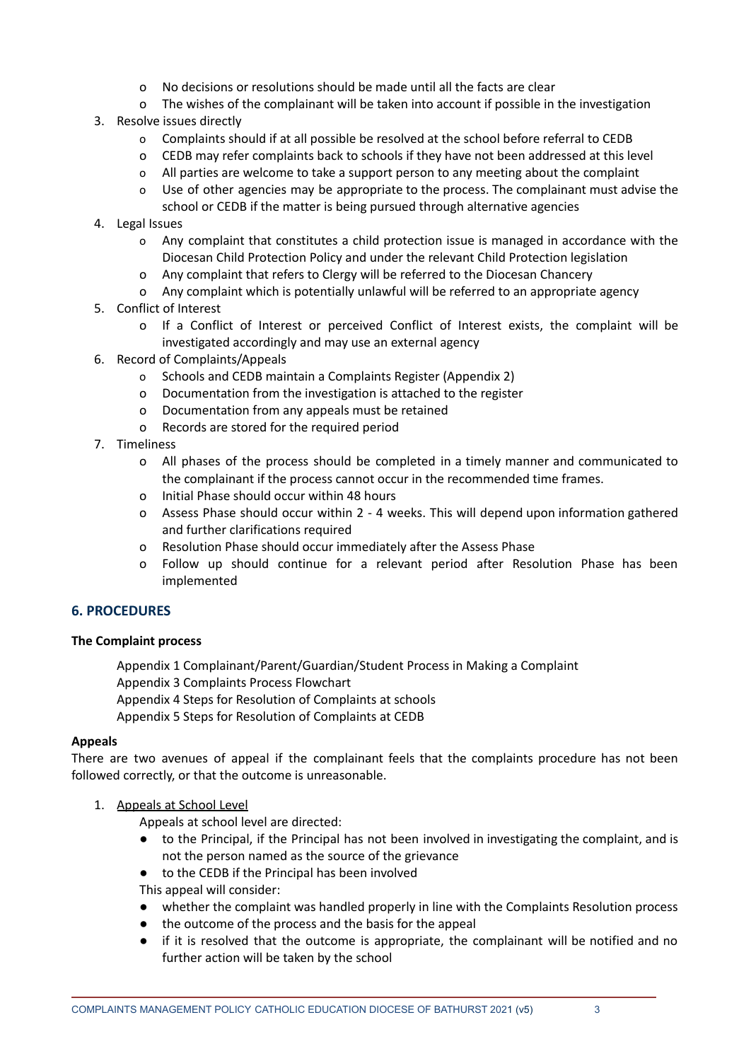- o No decisions or resolutions should be made until all the facts are clear
- o The wishes of the complainant will be taken into account if possible in the investigation
- 3. Resolve issues directly
	- o Complaints should if at all possible be resolved at the school before referral to CEDB
	- o CEDB may refer complaints back to schools if they have not been addressed at this level
	- o All parties are welcome to take a support person to any meeting about the complaint
	- o Use of other agencies may be appropriate to the process. The complainant must advise the school or CEDB if the matter is being pursued through alternative agencies
- 4. Legal Issues
	- o Any complaint that constitutes a child protection issue is managed in accordance with the Diocesan Child Protection Policy and under the relevant Child Protection legislation
	- o Any complaint that refers to Clergy will be referred to the Diocesan Chancery
	- o Any complaint which is potentially unlawful will be referred to an appropriate agency
- 5. Conflict of Interest
	- o If a Conflict of Interest or perceived Conflict of Interest exists, the complaint will be investigated accordingly and may use an external agency
- 6. Record of Complaints/Appeals
	- o Schools and CEDB maintain a Complaints Register (Appendix 2)
	- o Documentation from the investigation is attached to the register
	- o Documentation from any appeals must be retained
	- o Records are stored for the required period
- 7. Timeliness
	- o All phases of the process should be completed in a timely manner and communicated to the complainant if the process cannot occur in the recommended time frames.
	- o Initial Phase should occur within 48 hours
	- o Assess Phase should occur within 2 4 weeks. This will depend upon information gathered and further clarifications required
	- o Resolution Phase should occur immediately after the Assess Phase
	- o Follow up should continue for a relevant period after Resolution Phase has been implemented

## **6. PROCEDURES**

### **The Complaint process**

Appendix 1 Complainant/Parent/Guardian/Student Process in Making a Complaint Appendix 3 Complaints Process Flowchart Appendix 4 Steps for Resolution of Complaints at schools Appendix 5 Steps for Resolution of Complaints at CEDB

### **Appeals**

There are two avenues of appeal if the complainant feels that the complaints procedure has not been followed correctly, or that the outcome is unreasonable.

1. Appeals at School Level

Appeals at school level are directed:

- to the Principal, if the Principal has not been involved in investigating the complaint, and is not the person named as the source of the grievance
- to the CEDB if the Principal has been involved

This appeal will consider:

- whether the complaint was handled properly in line with the Complaints Resolution process
- the outcome of the process and the basis for the appeal
- if it is resolved that the outcome is appropriate, the complainant will be notified and no further action will be taken by the school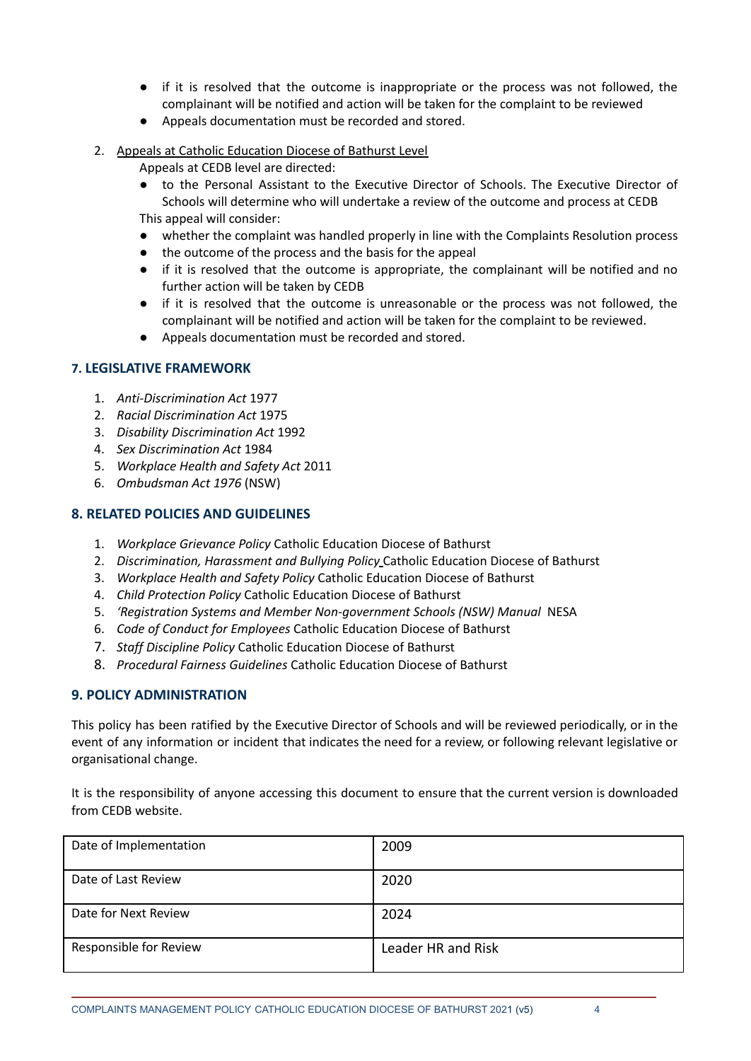- if it is resolved that the outcome is inappropriate or the process was not followed, the complainant will be notified and action will be taken for the complaint to be reviewed
- Appeals documentation must be recorded and stored.
- 2. Appeals at Catholic Education Diocese of Bathurst Level

Appeals at CEDB level are directed:

- to the Personal Assistant to the Executive Director of Schools. The Executive Director of Schools will determine who will undertake a review of the outcome and process at CEDB This appeal will consider:
- whether the complaint was handled properly in line with the Complaints Resolution process
- the outcome of the process and the basis for the appeal
- if it is resolved that the outcome is appropriate, the complainant will be notified and no further action will be taken by CEDB
- if it is resolved that the outcome is unreasonable or the process was not followed, the complainant will be notified and action will be taken for the complaint to be reviewed.
- Appeals documentation must be recorded and stored.

## **7. LEGISLATIVE FRAMEWORK**

- 1. *Anti-Discrimination Act* 1977
- 2. *Racial Discrimination Act* 1975
- 3. *Disability Discrimination Act* 1992
- 4. *Sex Discrimination Act* 1984
- 5. *Workplace Health and Safety Act* 2011
- 6. *Ombudsman Act 1976* (NSW)

## **8. RELATED POLICIES AND GUIDELINES**

- 1. *Workplace Grievance Policy* Catholic Education Diocese of Bathurst
- 2. *Discrimination, Harassment and Bullying Policy* Catholic Education Diocese of Bathurst
- 3. *Workplace Health and Safety Policy* Catholic Education Diocese of Bathurst
- 4. *Child Protection Policy* Catholic Education Diocese of Bathurst
- 5. *'Registration Systems and Member Non-government Schools (NSW) Manual* NESA
- 6. *Code of Conduct for Employees* Catholic Education Diocese of Bathurst
- 7. *Staff Discipline Policy* Catholic Education Diocese of Bathurst
- 8. *Procedural Fairness Guidelines* Catholic Education Diocese of Bathurst

## **9. POLICY ADMINISTRATION**

This policy has been ratified by the Executive Director of Schools and will be reviewed periodically, or in the event of any information or incident that indicates the need for a review, or following relevant legislative or organisational change.

It is the responsibility of anyone accessing this document to ensure that the current version is downloaded from CEDB website.

| Date of Implementation | 2009               |
|------------------------|--------------------|
|                        |                    |
|                        |                    |
| Date of Last Review    | 2020               |
|                        |                    |
|                        |                    |
| Date for Next Review   |                    |
|                        | 2024               |
|                        |                    |
|                        |                    |
| Responsible for Review | Leader HR and Risk |
|                        |                    |
|                        |                    |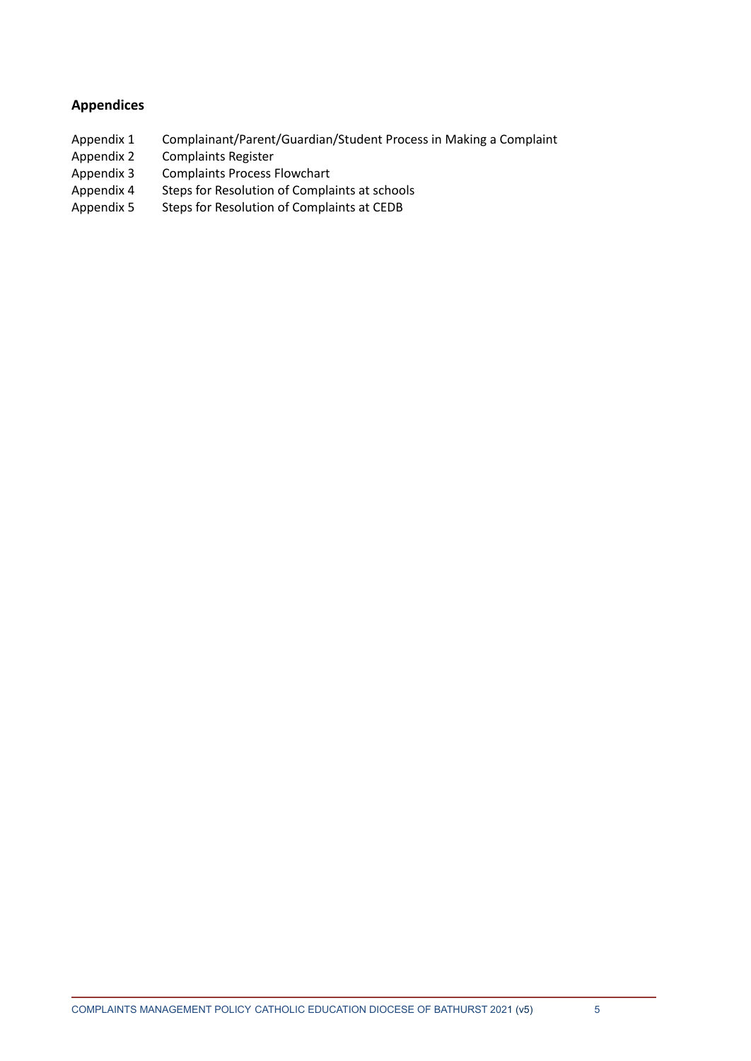## **Appendices**

- Appendix 1 Complainant/Parent/Guardian/Student Process in Making a Complaint
- Appendix 2 Complaints Register
- Appendix 3 Complaints Process Flowchart
- Appendix 4 Steps for Resolution of Complaints at schools
- Appendix 5 Steps for Resolution of Complaints at CEDB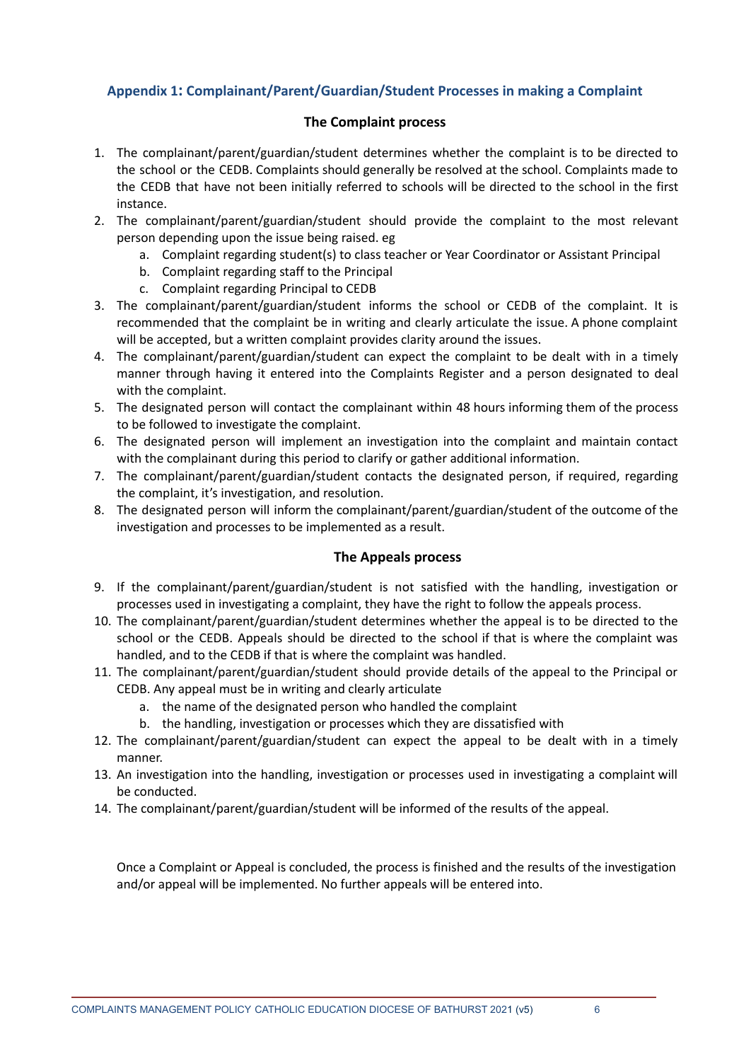## **Appendix 1: Complainant/Parent/Guardian/Student Processes in making a Complaint**

## **The Complaint process**

- 1. The complainant/parent/guardian/student determines whether the complaint is to be directed to the school or the CEDB. Complaints should generally be resolved at the school. Complaints made to the CEDB that have not been initially referred to schools will be directed to the school in the first instance.
- 2. The complainant/parent/guardian/student should provide the complaint to the most relevant person depending upon the issue being raised. eg
	- a. Complaint regarding student(s) to class teacher or Year Coordinator or Assistant Principal
	- b. Complaint regarding staff to the Principal
	- c. Complaint regarding Principal to CEDB
- 3. The complainant/parent/guardian/student informs the school or CEDB of the complaint. It is recommended that the complaint be in writing and clearly articulate the issue. A phone complaint will be accepted, but a written complaint provides clarity around the issues.
- 4. The complainant/parent/guardian/student can expect the complaint to be dealt with in a timely manner through having it entered into the Complaints Register and a person designated to deal with the complaint.
- 5. The designated person will contact the complainant within 48 hours informing them of the process to be followed to investigate the complaint.
- 6. The designated person will implement an investigation into the complaint and maintain contact with the complainant during this period to clarify or gather additional information.
- 7. The complainant/parent/guardian/student contacts the designated person, if required, regarding the complaint, it's investigation, and resolution.
- 8. The designated person will inform the complainant/parent/guardian/student of the outcome of the investigation and processes to be implemented as a result.

## **The Appeals process**

- 9. If the complainant/parent/guardian/student is not satisfied with the handling, investigation or processes used in investigating a complaint, they have the right to follow the appeals process.
- 10. The complainant/parent/guardian/student determines whether the appeal is to be directed to the school or the CEDB. Appeals should be directed to the school if that is where the complaint was handled, and to the CEDB if that is where the complaint was handled.
- 11. The complainant/parent/guardian/student should provide details of the appeal to the Principal or CEDB. Any appeal must be in writing and clearly articulate
	- a. the name of the designated person who handled the complaint
	- b. the handling, investigation or processes which they are dissatisfied with
- 12. The complainant/parent/guardian/student can expect the appeal to be dealt with in a timely manner.
- 13. An investigation into the handling, investigation or processes used in investigating a complaint will be conducted.
- 14. The complainant/parent/guardian/student will be informed of the results of the appeal.

Once a Complaint or Appeal is concluded, the process is finished and the results of the investigation and/or appeal will be implemented. No further appeals will be entered into.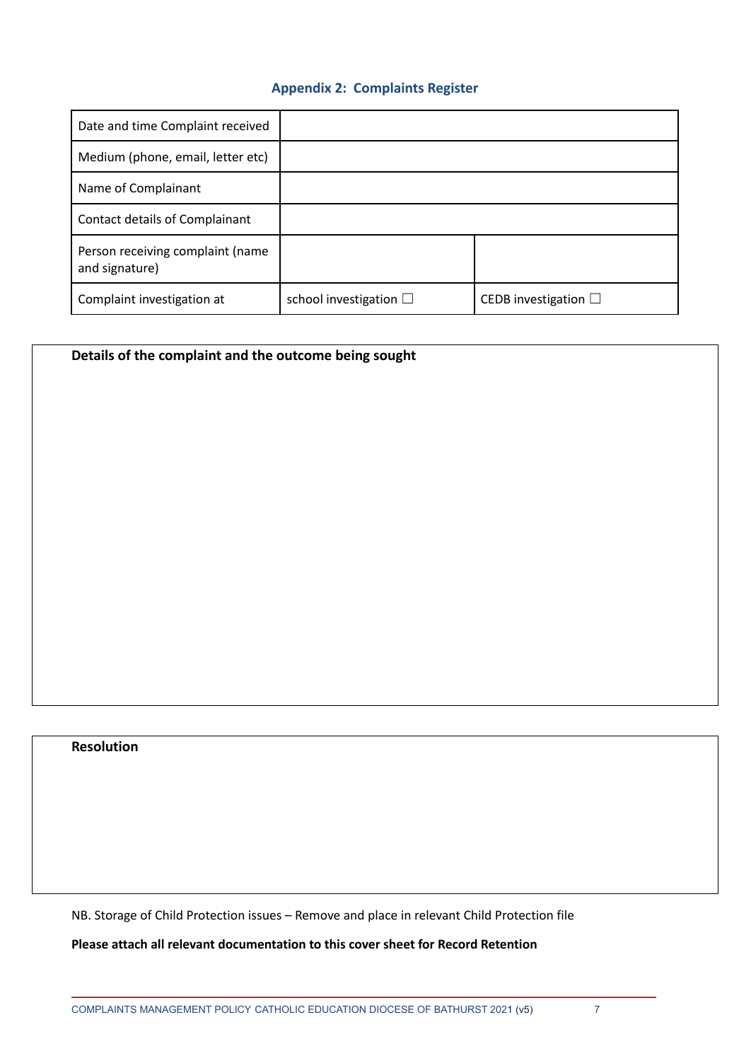### **Appendix 2: Complaints Register**

| Date and time Complaint received                   |                                |                              |
|----------------------------------------------------|--------------------------------|------------------------------|
| Medium (phone, email, letter etc)                  |                                |                              |
| Name of Complainant                                |                                |                              |
| Contact details of Complainant                     |                                |                              |
| Person receiving complaint (name<br>and signature) |                                |                              |
| Complaint investigation at                         | school investigation $\square$ | CEDB investigation $\square$ |

## **Details of the complaint and the outcome being sought**

**Resolution**

NB. Storage of Child Protection issues – Remove and place in relevant Child Protection file

**Please attach all relevant documentation to this cover sheet for Record Retention**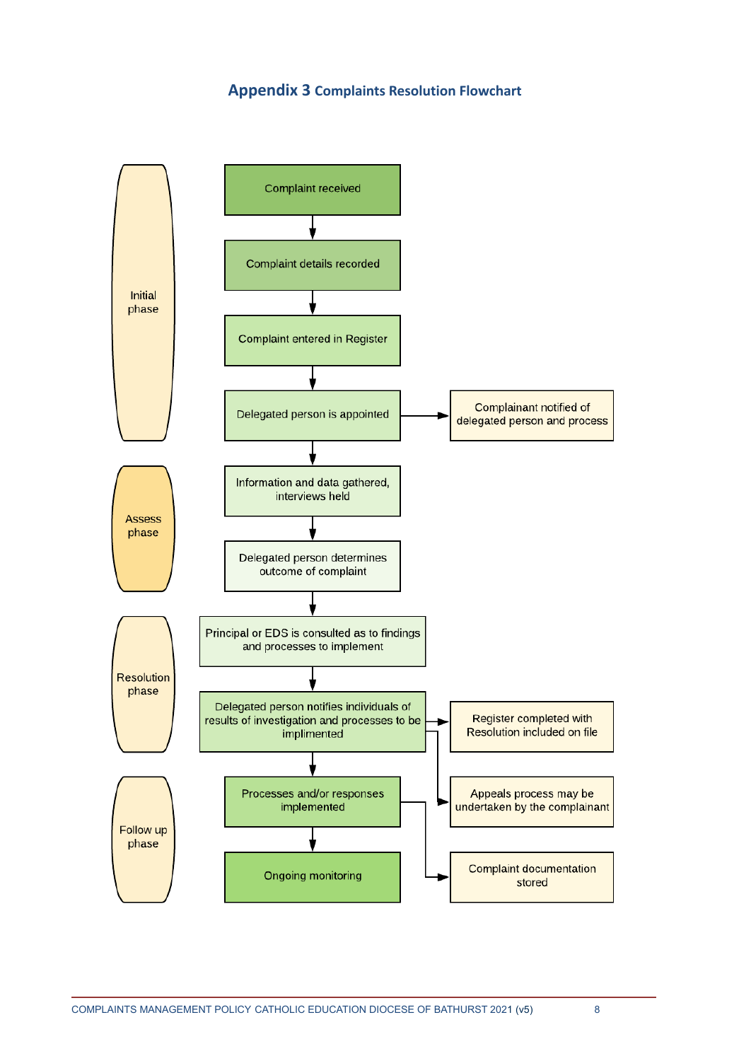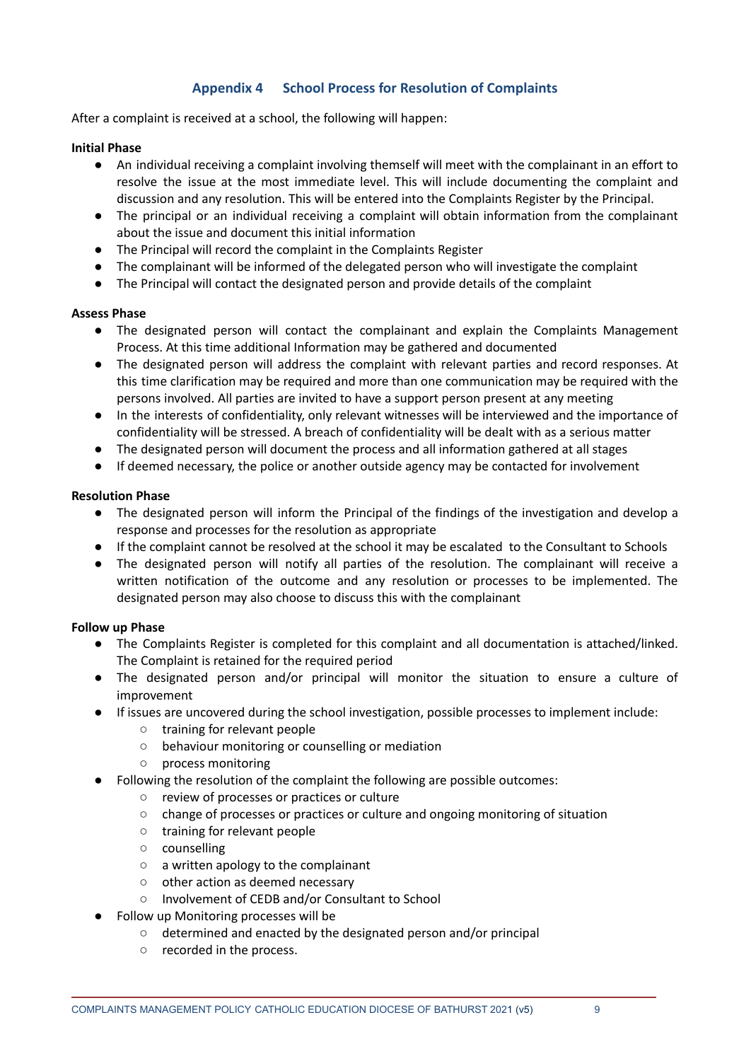## **Appendix 4 School Process for Resolution of Complaints**

After a complaint is received at a school, the following will happen:

### **Initial Phase**

- An individual receiving a complaint involving themself will meet with the complainant in an effort to resolve the issue at the most immediate level. This will include documenting the complaint and discussion and any resolution. This will be entered into the Complaints Register by the Principal.
- The principal or an individual receiving a complaint will obtain information from the complainant about the issue and document this initial information
- The Principal will record the complaint in the Complaints Register
- The complainant will be informed of the delegated person who will investigate the complaint
- The Principal will contact the designated person and provide details of the complaint

### **Assess Phase**

- The designated person will contact the complainant and explain the Complaints Management Process. At this time additional Information may be gathered and documented
- The designated person will address the complaint with relevant parties and record responses. At this time clarification may be required and more than one communication may be required with the persons involved. All parties are invited to have a support person present at any meeting
- In the interests of confidentiality, only relevant witnesses will be interviewed and the importance of confidentiality will be stressed. A breach of confidentiality will be dealt with as a serious matter
- The designated person will document the process and all information gathered at all stages
- If deemed necessary, the police or another outside agency may be contacted for involvement

### **Resolution Phase**

- The designated person will inform the Principal of the findings of the investigation and develop a response and processes for the resolution as appropriate
- If the complaint cannot be resolved at the school it may be escalated to the Consultant to Schools
- The designated person will notify all parties of the resolution. The complainant will receive a written notification of the outcome and any resolution or processes to be implemented. The designated person may also choose to discuss this with the complainant

### **Follow up Phase**

- The Complaints Register is completed for this complaint and all documentation is attached/linked. The Complaint is retained for the required period
- The designated person and/or principal will monitor the situation to ensure a culture of improvement
- If issues are uncovered during the school investigation, possible processes to implement include:
	- training for relevant people
	- behaviour monitoring or counselling or mediation
	- process monitoring
- Following the resolution of the complaint the following are possible outcomes:
	- review of processes or practices or culture
	- change of processes or practices or culture and ongoing monitoring of situation
	- training for relevant people
	- counselling
	- a written apology to the complainant
	- other action as deemed necessary
	- Involvement of CEDB and/or Consultant to School
- Follow up Monitoring processes will be
	- determined and enacted by the designated person and/or principal
	- recorded in the process.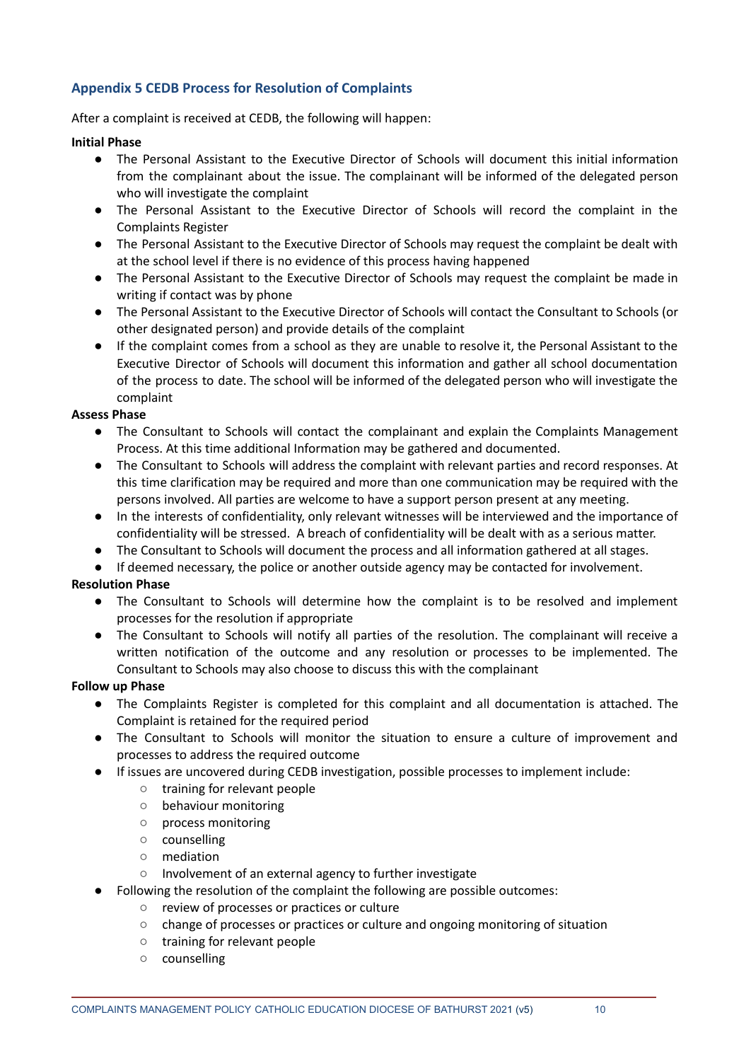## **Appendix 5 CEDB Process for Resolution of Complaints**

After a complaint is received at CEDB, the following will happen:

### **Initial Phase**

- The Personal Assistant to the Executive Director of Schools will document this initial information from the complainant about the issue. The complainant will be informed of the delegated person who will investigate the complaint
- The Personal Assistant to the Executive Director of Schools will record the complaint in the Complaints Register
- The Personal Assistant to the Executive Director of Schools may request the complaint be dealt with at the school level if there is no evidence of this process having happened
- The Personal Assistant to the Executive Director of Schools may request the complaint be made in writing if contact was by phone
- The Personal Assistant to the Executive Director of Schools will contact the Consultant to Schools (or other designated person) and provide details of the complaint
- If the complaint comes from a school as they are unable to resolve it, the Personal Assistant to the Executive Director of Schools will document this information and gather all school documentation of the process to date. The school will be informed of the delegated person who will investigate the complaint

### **Assess Phase**

- The Consultant to Schools will contact the complainant and explain the Complaints Management Process. At this time additional Information may be gathered and documented.
- The Consultant to Schools will address the complaint with relevant parties and record responses. At this time clarification may be required and more than one communication may be required with the persons involved. All parties are welcome to have a support person present at any meeting.
- In the interests of confidentiality, only relevant witnesses will be interviewed and the importance of confidentiality will be stressed. A breach of confidentiality will be dealt with as a serious matter.
- The Consultant to Schools will document the process and all information gathered at all stages.
- If deemed necessary, the police or another outside agency may be contacted for involvement.

### **Resolution Phase**

- The Consultant to Schools will determine how the complaint is to be resolved and implement processes for the resolution if appropriate
- The Consultant to Schools will notify all parties of the resolution. The complainant will receive a written notification of the outcome and any resolution or processes to be implemented. The Consultant to Schools may also choose to discuss this with the complainant

### **Follow up Phase**

- The Complaints Register is completed for this complaint and all documentation is attached. The Complaint is retained for the required period
- The Consultant to Schools will monitor the situation to ensure a culture of improvement and processes to address the required outcome
- If issues are uncovered during CEDB investigation, possible processes to implement include:
	- training for relevant people
	- behaviour monitoring
	- process monitoring
	- counselling
	- mediation
	- Involvement of an external agency to further investigate
- Following the resolution of the complaint the following are possible outcomes:
	- review of processes or practices or culture
	- change of processes or practices or culture and ongoing monitoring of situation
	- training for relevant people
	- counselling